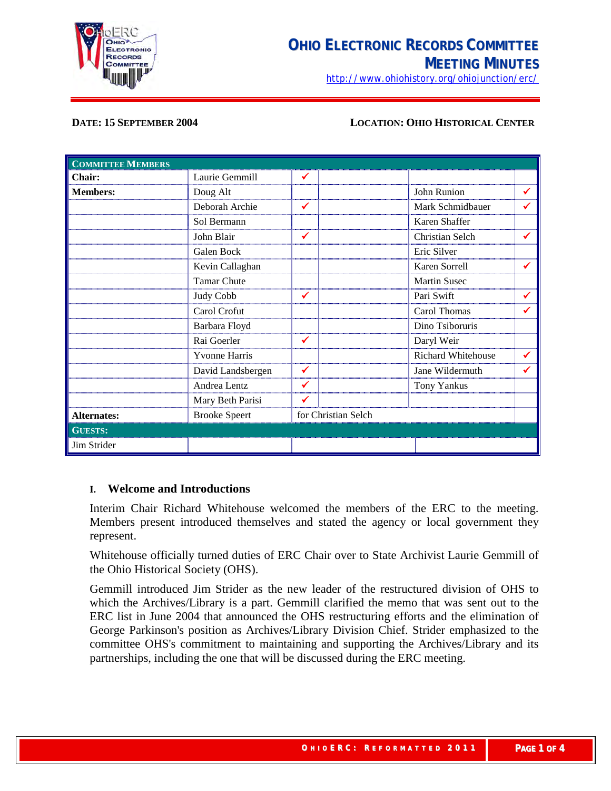

<http://www.ohiohistory.org/ohiojunction/erc/>

### **DATE: 15 SEPTEMBER 2004 LOCATION: OHIO HISTORICAL CENTER**

| <b>COMMITTEE MEMBERS</b> |                      |                     |                     |              |
|--------------------------|----------------------|---------------------|---------------------|--------------|
| Chair:                   | Laurie Gemmill       | ✔                   |                     |              |
| <b>Members:</b>          | Doug Alt             |                     | John Runion         | ✔            |
|                          | Deborah Archie       | ✔                   | Mark Schmidbauer    | ✔            |
|                          | Sol Bermann          |                     | Karen Shaffer       |              |
|                          | John Blair           | ✓                   | Christian Selch     | ✔            |
|                          | Galen Bock           |                     | Eric Silver         |              |
|                          | Kevin Callaghan      |                     | Karen Sorrell       | $\checkmark$ |
|                          | <b>Tamar Chute</b>   |                     | <b>Martin Susec</b> |              |
|                          | Judy Cobb            | $\checkmark$        | Pari Swift          | $\checkmark$ |
|                          | Carol Crofut         |                     | Carol Thomas        | ✔            |
|                          | Barbara Floyd        |                     | Dino Tsiboruris     |              |
|                          | Rai Goerler          | ✔                   | Daryl Weir          |              |
|                          | <b>Yvonne Harris</b> |                     | Richard Whitehouse  | $\checkmark$ |
|                          | David Landsbergen    | $\checkmark$        | Jane Wildermuth     | ✓            |
|                          | Andrea Lentz         | $\checkmark$        | Tony Yankus         |              |
|                          | Mary Beth Parisi     | ✔                   |                     |              |
| <b>Alternates:</b>       | <b>Brooke Speert</b> | for Christian Selch |                     |              |
| <b>GUESTS:</b>           |                      |                     |                     |              |
| Jim Strider              |                      |                     |                     |              |

### **I. Welcome and Introductions**

Interim Chair Richard Whitehouse welcomed the members of the ERC to the meeting. Members present introduced themselves and stated the agency or local government they represent.

Whitehouse officially turned duties of ERC Chair over to State Archivist Laurie Gemmill of the Ohio Historical Society (OHS).

Gemmill introduced Jim Strider as the new leader of the restructured division of OHS to which the Archives/Library is a part. Gemmill clarified the memo that was sent out to the ERC list in June 2004 that announced the OHS restructuring efforts and the elimination of George Parkinson's position as Archives/Library Division Chief. Strider emphasized to the committee OHS's commitment to maintaining and supporting the Archives/Library and its partnerships, including the one that will be discussed during the ERC meeting.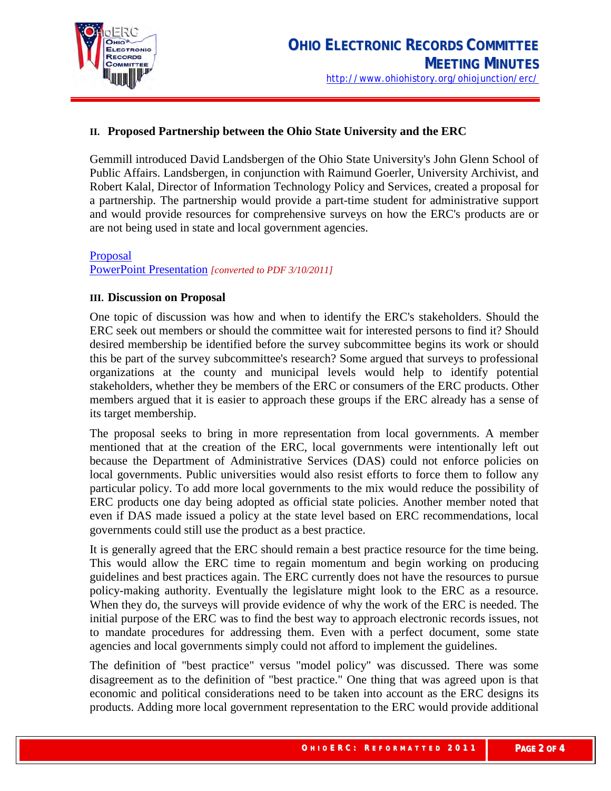

## **II. Proposed Partnership between the Ohio State University and the ERC**

Gemmill introduced David Landsbergen of the Ohio State University's John Glenn School of Public Affairs. Landsbergen, in conjunction with Raimund Goerler, University Archivist, and Robert Kalal, Director of Information Technology Policy and Services, created a proposal for a partnership. The partnership would provide a part-time student for administrative support and would provide resources for comprehensive surveys on how the ERC's products are or are not being used in state and local government agencies.

[Proposal](http://ohsweb.ohiohistory.org/ohioerc/images/8/89/OSU-ERC-partnership-proposal.pdf) [PowerPoint Presentation](http://ohsweb.ohiohistory.org/ohioerc/images/f/f3/091504present.pdf) *[converted to PDF 3/10/2011]*

## **III. Discussion on Proposal**

One topic of discussion was how and when to identify the ERC's stakeholders. Should the ERC seek out members or should the committee wait for interested persons to find it? Should desired membership be identified before the survey subcommittee begins its work or should this be part of the survey subcommittee's research? Some argued that surveys to professional organizations at the county and municipal levels would help to identify potential stakeholders, whether they be members of the ERC or consumers of the ERC products. Other members argued that it is easier to approach these groups if the ERC already has a sense of its target membership.

The proposal seeks to bring in more representation from local governments. A member mentioned that at the creation of the ERC, local governments were intentionally left out because the Department of Administrative Services (DAS) could not enforce policies on local governments. Public universities would also resist efforts to force them to follow any particular policy. To add more local governments to the mix would reduce the possibility of ERC products one day being adopted as official state policies. Another member noted that even if DAS made issued a policy at the state level based on ERC recommendations, local governments could still use the product as a best practice.

It is generally agreed that the ERC should remain a best practice resource for the time being. This would allow the ERC time to regain momentum and begin working on producing guidelines and best practices again. The ERC currently does not have the resources to pursue policy-making authority. Eventually the legislature might look to the ERC as a resource. When they do, the surveys will provide evidence of why the work of the ERC is needed. The initial purpose of the ERC was to find the best way to approach electronic records issues, not to mandate procedures for addressing them. Even with a perfect document, some state agencies and local governments simply could not afford to implement the guidelines.

The definition of "best practice" versus "model policy" was discussed. There was some disagreement as to the definition of "best practice." One thing that was agreed upon is that economic and political considerations need to be taken into account as the ERC designs its products. Adding more local government representation to the ERC would provide additional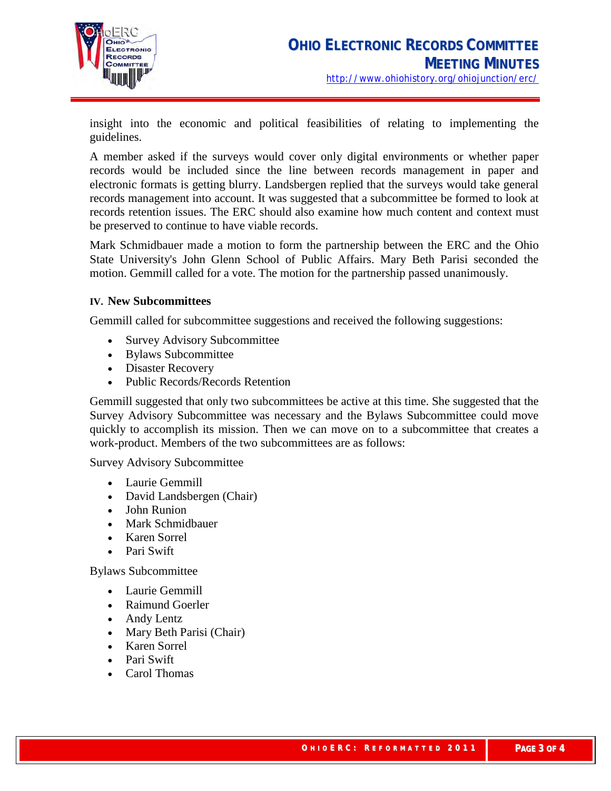

insight into the economic and political feasibilities of relating to implementing the guidelines.

A member asked if the surveys would cover only digital environments or whether paper records would be included since the line between records management in paper and electronic formats is getting blurry. Landsbergen replied that the surveys would take general records management into account. It was suggested that a subcommittee be formed to look at records retention issues. The ERC should also examine how much content and context must be preserved to continue to have viable records.

Mark Schmidbauer made a motion to form the partnership between the ERC and the Ohio State University's John Glenn School of Public Affairs. Mary Beth Parisi seconded the motion. Gemmill called for a vote. The motion for the partnership passed unanimously.

## **IV. New Subcommittees**

Gemmill called for subcommittee suggestions and received the following suggestions:

- Survey Advisory Subcommittee
- Bylaws Subcommittee
- Disaster Recovery
- Public Records/Records Retention

Gemmill suggested that only two subcommittees be active at this time. She suggested that the Survey Advisory Subcommittee was necessary and the Bylaws Subcommittee could move quickly to accomplish its mission. Then we can move on to a subcommittee that creates a work-product. Members of the two subcommittees are as follows:

Survey Advisory Subcommittee

- Laurie Gemmill
- David Landsbergen (Chair)
- John Runion
- Mark Schmidbauer
- Karen Sorrel
- Pari Swift

Bylaws Subcommittee

- Laurie Gemmill
- Raimund Goerler
- Andy Lentz
- Mary Beth Parisi (Chair)
- Karen Sorrel
- Pari Swift
- Carol Thomas